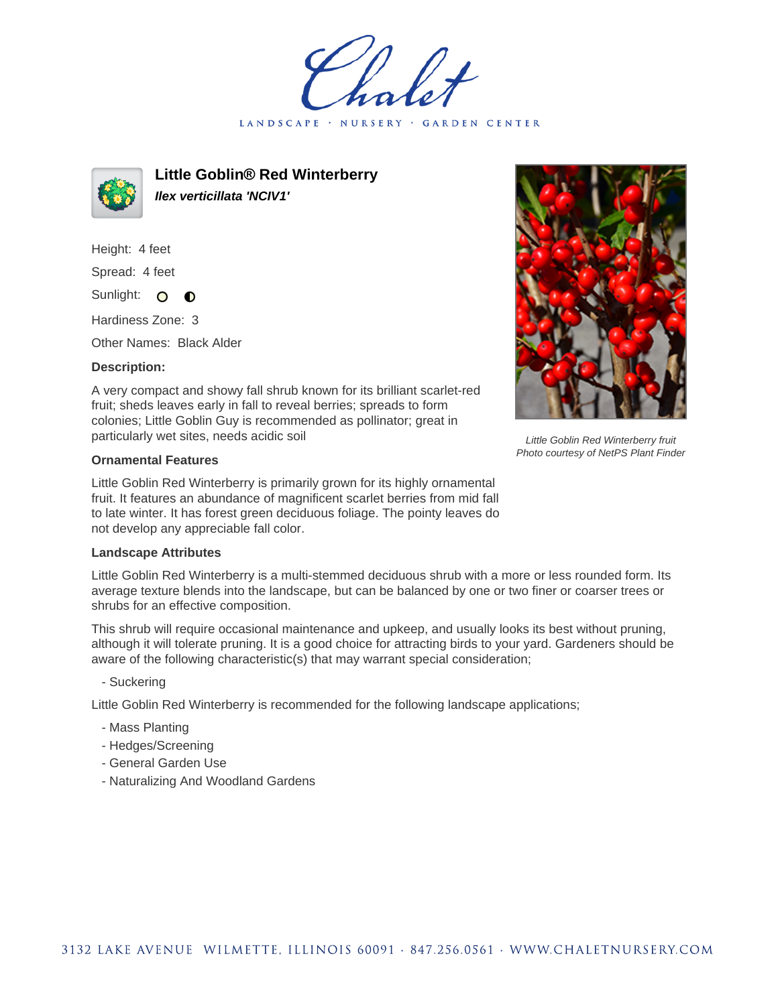LANDSCAPE · NURSERY **GARDEN CENTER** 



**Little Goblin® Red Winterberry Ilex verticillata 'NCIV1'**

Height: 4 feet Spread: 4 feet Sunlight: O  $\bullet$ 

Hardiness Zone: 3

Other Names: Black Alder

## **Description:**

A very compact and showy fall shrub known for its brilliant scarlet-red fruit; sheds leaves early in fall to reveal berries; spreads to form colonies; Little Goblin Guy is recommended as pollinator; great in particularly wet sites, needs acidic soil

## **Ornamental Features**

Little Goblin Red Winterberry is primarily grown for its highly ornamental fruit. It features an abundance of magnificent scarlet berries from mid fall to late winter. It has forest green deciduous foliage. The pointy leaves do not develop any appreciable fall color.

## **Landscape Attributes**

Little Goblin Red Winterberry is a multi-stemmed deciduous shrub with a more or less rounded form. Its average texture blends into the landscape, but can be balanced by one or two finer or coarser trees or shrubs for an effective composition.

This shrub will require occasional maintenance and upkeep, and usually looks its best without pruning, although it will tolerate pruning. It is a good choice for attracting birds to your yard. Gardeners should be aware of the following characteristic(s) that may warrant special consideration;

- Suckering

Little Goblin Red Winterberry is recommended for the following landscape applications;

- Mass Planting
- Hedges/Screening
- General Garden Use
- Naturalizing And Woodland Gardens



Little Goblin Red Winterberry fruit Photo courtesy of NetPS Plant Finder